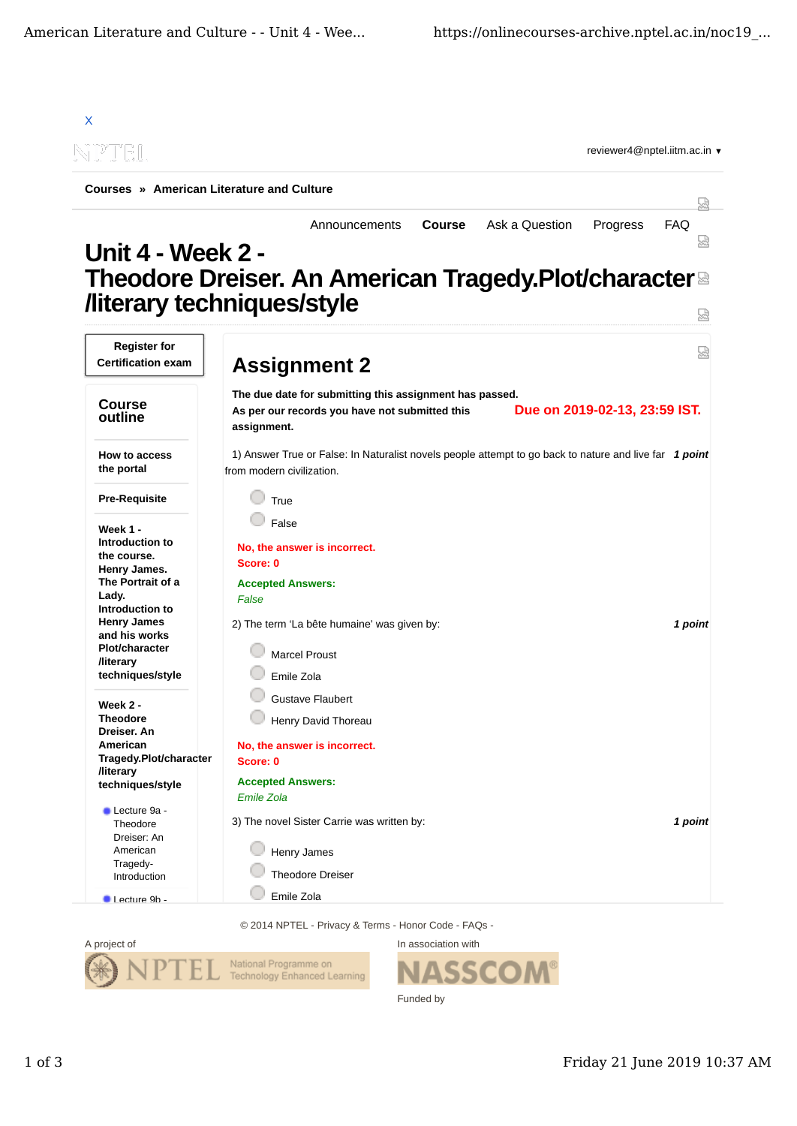

© 2014 NPTEL - Privacy & Terms - Honor Code - FAQs -



In association with Funded by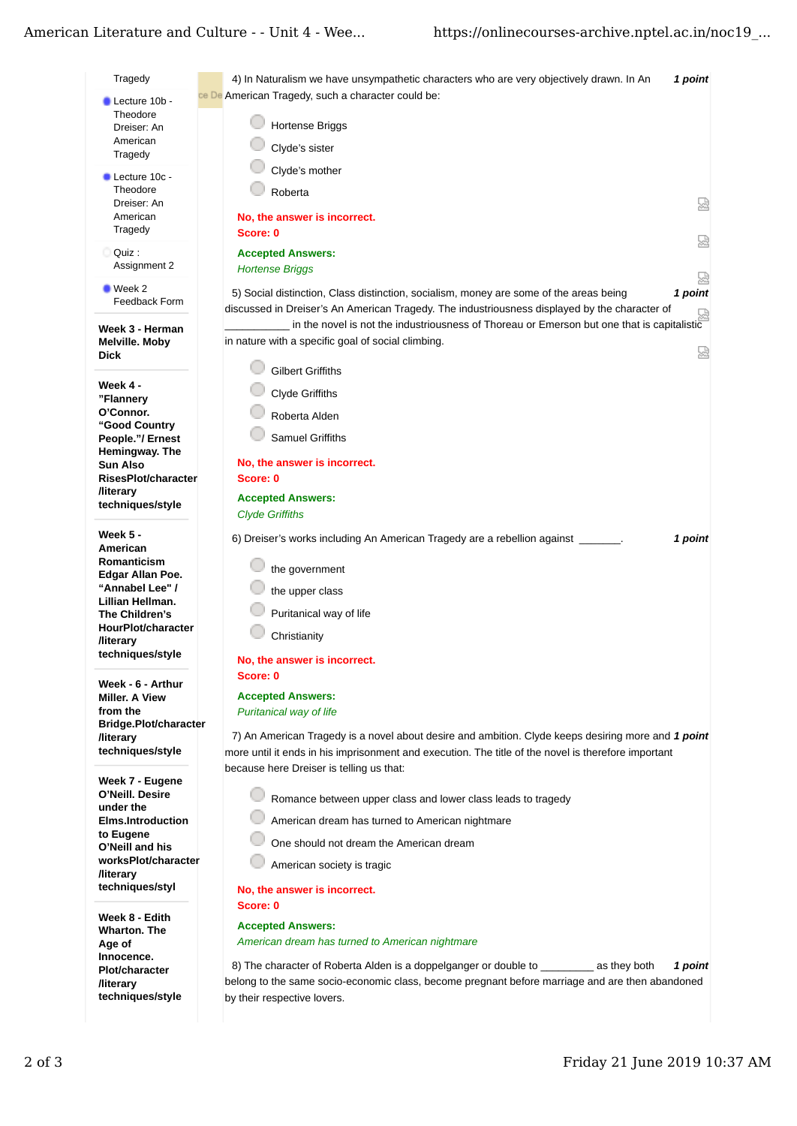